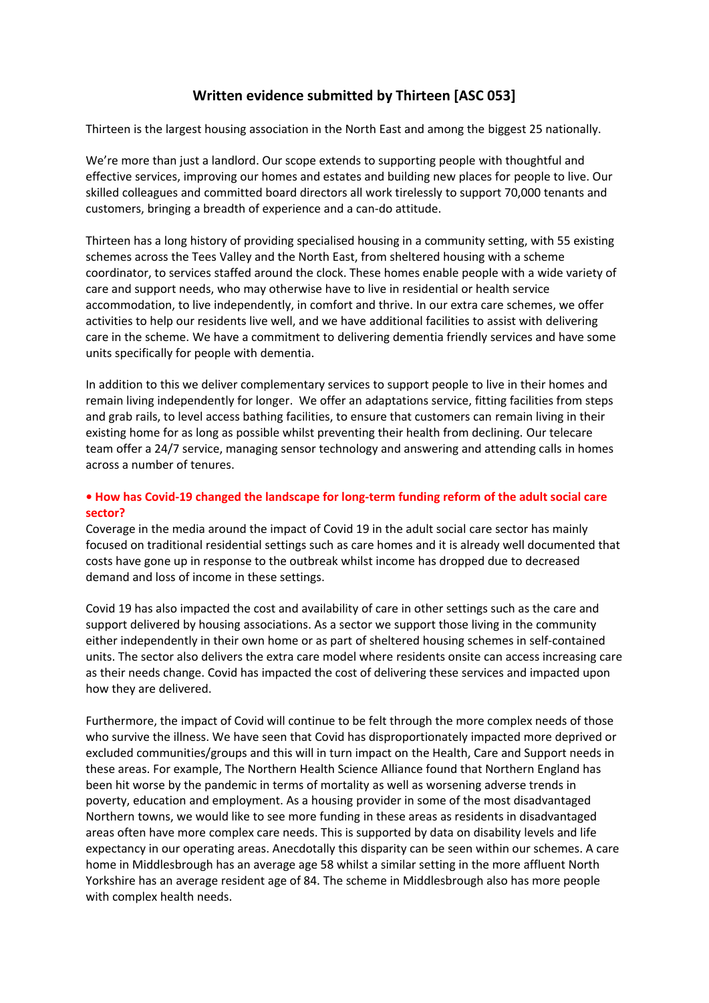# **Written evidence submitted by Thirteen [ASC 053]**

Thirteen is the largest housing association in the North East and among the biggest 25 nationally.

We're more than just a landlord. Our scope extends to supporting people with thoughtful and effective services, improving our homes and estates and building new places for people to live. Our skilled colleagues and committed board directors all work tirelessly to support 70,000 tenants and customers, bringing a breadth of experience and a can-do attitude.

Thirteen has a long history of providing specialised housing in a community setting, with 55 existing schemes across the Tees Valley and the North East, from sheltered housing with a scheme coordinator, to services staffed around the clock. These homes enable people with a wide variety of care and support needs, who may otherwise have to live in residential or health service accommodation, to live independently, in comfort and thrive. In our extra care schemes, we offer activities to help our residents live well, and we have additional facilities to assist with delivering care in the scheme. We have a commitment to delivering dementia friendly services and have some units specifically for people with dementia.

In addition to this we deliver complementary services to support people to live in their homes and remain living independently for longer. We offer an adaptations service, fitting facilities from steps and grab rails, to level access bathing facilities, to ensure that customers can remain living in their existing home for as long as possible whilst preventing their health from declining. Our telecare team offer a 24/7 service, managing sensor technology and answering and attending calls in homes across a number of tenures.

## **• How has Covid-19 changed the landscape for long-term funding reform of the adult social care sector?**

Coverage in the media around the impact of Covid 19 in the adult social care sector has mainly focused on traditional residential settings such as care homes and it is already well documented that costs have gone up in response to the outbreak whilst income has dropped due to decreased demand and loss of income in these settings.

Covid 19 has also impacted the cost and availability of care in other settings such as the care and support delivered by housing associations. As a sector we support those living in the community either independently in their own home or as part of sheltered housing schemes in self-contained units. The sector also delivers the extra care model where residents onsite can access increasing care as their needs change. Covid has impacted the cost of delivering these services and impacted upon how they are delivered.

Furthermore, the impact of Covid will continue to be felt through the more complex needs of those who survive the illness. We have seen that Covid has disproportionately impacted more deprived or excluded communities/groups and this will in turn impact on the Health, Care and Support needs in these areas. For example, The Northern Health Science Alliance found that Northern England has been hit worse by the pandemic in terms of mortality as well as worsening adverse trends in poverty, education and employment. As a housing provider in some of the most disadvantaged Northern towns, we would like to see more funding in these areas as residents in disadvantaged areas often have more complex care needs. This is supported by data on disability levels and life expectancy in our operating areas. Anecdotally this disparity can be seen within our schemes. A care home in Middlesbrough has an average age 58 whilst a similar setting in the more affluent North Yorkshire has an average resident age of 84. The scheme in Middlesbrough also has more people with complex health needs.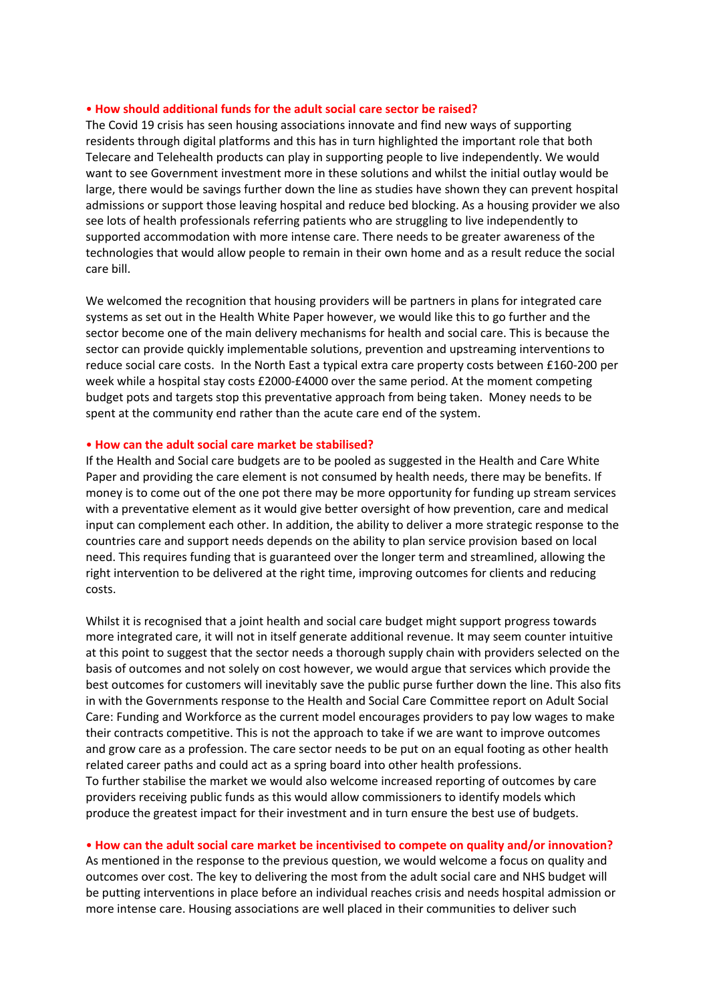### • **How should additional funds for the adult social care sector be raised?**

The Covid 19 crisis has seen housing associations innovate and find new ways of supporting residents through digital platforms and this has in turn highlighted the important role that both Telecare and Telehealth products can play in supporting people to live independently. We would want to see Government investment more in these solutions and whilst the initial outlay would be large, there would be savings further down the line as studies have shown they can prevent hospital admissions or support those leaving hospital and reduce bed blocking. As a housing provider we also see lots of health professionals referring patients who are struggling to live independently to supported accommodation with more intense care. There needs to be greater awareness of the technologies that would allow people to remain in their own home and as a result reduce the social care bill.

We welcomed the recognition that housing providers will be partners in plans for integrated care systems as set out in the Health White Paper however, we would like this to go further and the sector become one of the main delivery mechanisms for health and social care. This is because the sector can provide quickly implementable solutions, prevention and upstreaming interventions to reduce social care costs. In the North East a typical extra care property costs between £160-200 per week while a hospital stay costs £2000-£4000 over the same period. At the moment competing budget pots and targets stop this preventative approach from being taken. Money needs to be spent at the community end rather than the acute care end of the system.

### • **How can the adult social care market be stabilised?**

If the Health and Social care budgets are to be pooled as suggested in the Health and Care White Paper and providing the care element is not consumed by health needs, there may be benefits. If money is to come out of the one pot there may be more opportunity for funding up stream services with a preventative element as it would give better oversight of how prevention, care and medical input can complement each other. In addition, the ability to deliver a more strategic response to the countries care and support needs depends on the ability to plan service provision based on local need. This requires funding that is guaranteed over the longer term and streamlined, allowing the right intervention to be delivered at the right time, improving outcomes for clients and reducing costs.

Whilst it is recognised that a joint health and social care budget might support progress towards more integrated care, it will not in itself generate additional revenue. It may seem counter intuitive at this point to suggest that the sector needs a thorough supply chain with providers selected on the basis of outcomes and not solely on cost however, we would argue that services which provide the best outcomes for customers will inevitably save the public purse further down the line. This also fits in with the Governments response to the Health and Social Care Committee report on Adult Social Care: Funding and Workforce as the current model encourages providers to pay low wages to make their contracts competitive. This is not the approach to take if we are want to improve outcomes and grow care as a profession. The care sector needs to be put on an equal footing as other health related career paths and could act as a spring board into other health professions. To further stabilise the market we would also welcome increased reporting of outcomes by care providers receiving public funds as this would allow commissioners to identify models which produce the greatest impact for their investment and in turn ensure the best use of budgets.

#### • **How can the adult social care market be incentivised to compete on quality and/or innovation?**

As mentioned in the response to the previous question, we would welcome a focus on quality and outcomes over cost. The key to delivering the most from the adult social care and NHS budget will be putting interventions in place before an individual reaches crisis and needs hospital admission or more intense care. Housing associations are well placed in their communities to deliver such